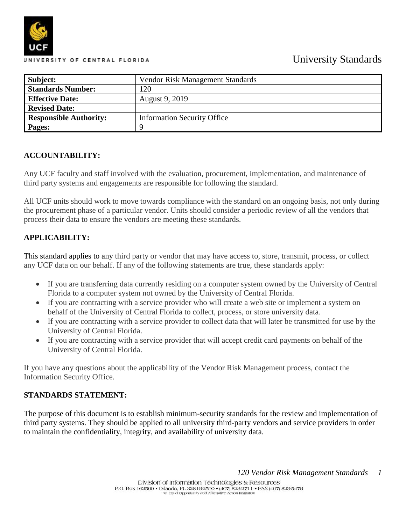# University Standards



| Subject:                      | Vendor Risk Management Standards   |  |
|-------------------------------|------------------------------------|--|
| <b>Standards Number:</b>      | 120                                |  |
| <b>Effective Date:</b>        | August 9, 2019                     |  |
| <b>Revised Date:</b>          |                                    |  |
| <b>Responsible Authority:</b> | <b>Information Security Office</b> |  |
| Pages:                        |                                    |  |

### **ACCOUNTABILITY:**

Any UCF faculty and staff involved with the evaluation, procurement, implementation, and maintenance of third party systems and engagements are responsible for following the standard.

All UCF units should work to move towards compliance with the standard on an ongoing basis, not only during the procurement phase of a particular vendor. Units should consider a periodic review of all the vendors that process their data to ensure the vendors are meeting these standards.

### **APPLICABILITY:**

This standard applies to any third party or vendor that may have access to, store, transmit, process, or collect any UCF data on our behalf. If any of the following statements are true, these standards apply:

- If you are transferring data currently residing on a computer system owned by the University of Central Florida to a computer system not owned by the University of Central Florida.
- If you are contracting with a service provider who will create a web site or implement a system on behalf of the University of Central Florida to collect, process, or store university data.
- If you are contracting with a service provider to collect data that will later be transmitted for use by the University of Central Florida.
- If you are contracting with a service provider that will accept credit card payments on behalf of the University of Central Florida.

If you have any questions about the applicability of the Vendor Risk Management process, contact the Information Security Office.

### **STANDARDS STATEMENT:**

The purpose of this document is to establish minimum-security standards for the review and implementation of third party systems. They should be applied to all university third-party vendors and service providers in order to maintain the confidentiality, integrity, and availability of university data.

*120 Vendor Risk Management Standards 1*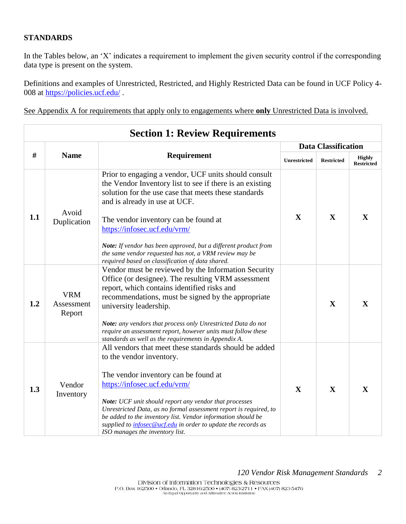### **STANDARDS**

In the Tables below, an 'X' indicates a requirement to implement the given security control if the corresponding data type is present on the system.

Definitions and examples of Unrestricted, Restricted, and Highly Restricted Data can be found in UCF Policy 4 008 at<https://policies.ucf.edu/>.

See Appendix A for requirements that apply only to engagements where **only** Unrestricted Data is involved.

| <b>Section 1: Review Requirements</b> |                                                                                                                                                                                                               |                                                                                                                                                                                                                                                                                                          |                            |                   |                                    |
|---------------------------------------|---------------------------------------------------------------------------------------------------------------------------------------------------------------------------------------------------------------|----------------------------------------------------------------------------------------------------------------------------------------------------------------------------------------------------------------------------------------------------------------------------------------------------------|----------------------------|-------------------|------------------------------------|
|                                       |                                                                                                                                                                                                               |                                                                                                                                                                                                                                                                                                          | <b>Data Classification</b> |                   |                                    |
| #                                     | <b>Name</b>                                                                                                                                                                                                   | Requirement                                                                                                                                                                                                                                                                                              | <b>Unrestricted</b>        | <b>Restricted</b> | <b>Highly</b><br><b>Restricted</b> |
| 1.1                                   | Avoid                                                                                                                                                                                                         | Prior to engaging a vendor, UCF units should consult<br>the Vendor Inventory list to see if there is an existing<br>solution for the use case that meets these standards<br>and is already in use at UCF.                                                                                                | $\mathbf{X}$               | X                 | $\mathbf{X}$                       |
|                                       | Duplication                                                                                                                                                                                                   | The vendor inventory can be found at                                                                                                                                                                                                                                                                     |                            |                   |                                    |
|                                       | https://infosec.ucf.edu/vrm/<br>Note: If vendor has been approved, but a different product from<br>the same vendor requested has not, a VRM review may be<br>required based on classification of data shared. |                                                                                                                                                                                                                                                                                                          |                            |                   |                                    |
| 1.2                                   | <b>VRM</b><br>Assessment<br>Report                                                                                                                                                                            | Vendor must be reviewed by the Information Security<br>Office (or designee). The resulting VRM assessment<br>report, which contains identified risks and<br>recommendations, must be signed by the appropriate<br>university leadership.<br>Note: any vendors that process only Unrestricted Data do not |                            | X                 | $\mathbf{X}$                       |
|                                       |                                                                                                                                                                                                               | require an assessment report, however units must follow these                                                                                                                                                                                                                                            |                            |                   |                                    |
|                                       |                                                                                                                                                                                                               | standards as well as the requirements in Appendix A.<br>All vendors that meet these standards should be added<br>to the vendor inventory.                                                                                                                                                                |                            |                   |                                    |
| 1.3                                   | Vendor<br>Inventory                                                                                                                                                                                           | The vendor inventory can be found at<br>https://infosec.ucf.edu/vrm/                                                                                                                                                                                                                                     | $\mathbf{X}$               | $\mathbf{X}$      | $\mathbf{X}$                       |
|                                       |                                                                                                                                                                                                               | Note: UCF unit should report any vendor that processes<br>Unrestricted Data, as no formal assessment report is required, to<br>be added to the inventory list. Vendor information should be<br>supplied to <i>infosec@ucf.edu</i> in order to update the records as<br>ISO manages the inventory list.   |                            |                   |                                    |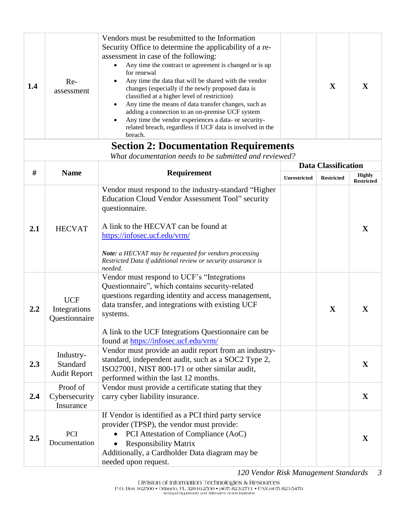| 1.4 | Re-<br>assessment                            | Vendors must be resubmitted to the Information<br>Security Office to determine the applicability of a re-<br>assessment in case of the following:<br>Any time the contract or agreement is changed or is up<br>$\bullet$<br>for renewal<br>Any time the data that will be shared with the vendor<br>changes (especially if the newly proposed data is<br>classified at a higher level of restriction)<br>Any time the means of data transfer changes, such as<br>adding a connection to an on-premise UCF system<br>Any time the vendor experiences a data- or security-<br>related breach, regardless if UCF data is involved in the<br>breach.<br><b>Section 2: Documentation Requirements</b> |                     | X                          | X                                  |
|-----|----------------------------------------------|--------------------------------------------------------------------------------------------------------------------------------------------------------------------------------------------------------------------------------------------------------------------------------------------------------------------------------------------------------------------------------------------------------------------------------------------------------------------------------------------------------------------------------------------------------------------------------------------------------------------------------------------------------------------------------------------------|---------------------|----------------------------|------------------------------------|
|     |                                              | What documentation needs to be submitted and reviewed?                                                                                                                                                                                                                                                                                                                                                                                                                                                                                                                                                                                                                                           |                     |                            |                                    |
|     |                                              |                                                                                                                                                                                                                                                                                                                                                                                                                                                                                                                                                                                                                                                                                                  |                     | <b>Data Classification</b> |                                    |
| #   | <b>Name</b>                                  | Requirement                                                                                                                                                                                                                                                                                                                                                                                                                                                                                                                                                                                                                                                                                      | <b>Unrestricted</b> | <b>Restricted</b>          | <b>Highly</b><br><b>Restricted</b> |
| 2.1 | <b>HECVAT</b>                                | Vendor must respond to the industry-standard "Higher<br>Education Cloud Vendor Assessment Tool" security<br>questionnaire.<br>A link to the HECVAT can be found at<br>https://infosec.ucf.edu/vrm/                                                                                                                                                                                                                                                                                                                                                                                                                                                                                               |                     |                            | X                                  |
|     |                                              | Note: a HECVAT may be requested for vendors processing<br>Restricted Data if additional review or security assurance is<br>needed.                                                                                                                                                                                                                                                                                                                                                                                                                                                                                                                                                               |                     |                            |                                    |
| 2.2 | <b>UCF</b><br>Integrations<br>Questionnaire  | Vendor must respond to UCF's "Integrations"<br>Questionnaire", which contains security-related<br>questions regarding identity and access management,<br>data transfer, and integrations with existing UCF<br>systems.<br>A link to the UCF Integrations Questionnaire can be<br>found at https://infosec.ucf.edu/vrm/                                                                                                                                                                                                                                                                                                                                                                           |                     | X                          | $\mathbf{X}$                       |
| 2.3 | Industry-<br>Standard<br><b>Audit Report</b> | Vendor must provide an audit report from an industry-<br>standard, independent audit, such as a SOC2 Type 2,<br>ISO27001, NIST 800-171 or other similar audit,<br>performed within the last 12 months.                                                                                                                                                                                                                                                                                                                                                                                                                                                                                           |                     |                            | $\mathbf X$                        |
| 2.4 | Proof of<br>Cybersecurity<br>Insurance       | Vendor must provide a certificate stating that they<br>carry cyber liability insurance.                                                                                                                                                                                                                                                                                                                                                                                                                                                                                                                                                                                                          |                     |                            | $\mathbf{X}$                       |
| 2.5 | PCI<br>Documentation                         | If Vendor is identified as a PCI third party service<br>provider (TPSP), the vendor must provide:<br>PCI Attestation of Compliance (AoC)<br><b>Responsibility Matrix</b><br>$\bullet$<br>Additionally, a Cardholder Data diagram may be<br>needed upon request.                                                                                                                                                                                                                                                                                                                                                                                                                                  |                     |                            | $\mathbf X$                        |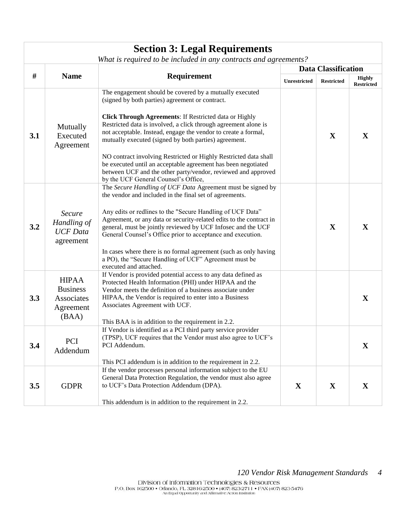| <b>Section 3: Legal Requirements</b><br>What is required to be included in any contracts and agreements? |                                                                     |                                                                                                                                                                                                                                                                                                                                                                                                                                                                                                                                                                                                                  |                            |                   |                                    |
|----------------------------------------------------------------------------------------------------------|---------------------------------------------------------------------|------------------------------------------------------------------------------------------------------------------------------------------------------------------------------------------------------------------------------------------------------------------------------------------------------------------------------------------------------------------------------------------------------------------------------------------------------------------------------------------------------------------------------------------------------------------------------------------------------------------|----------------------------|-------------------|------------------------------------|
|                                                                                                          |                                                                     |                                                                                                                                                                                                                                                                                                                                                                                                                                                                                                                                                                                                                  | <b>Data Classification</b> |                   |                                    |
| #                                                                                                        | <b>Name</b><br>Requirement                                          |                                                                                                                                                                                                                                                                                                                                                                                                                                                                                                                                                                                                                  | <b>Unrestricted</b>        | <b>Restricted</b> | <b>Highly</b><br><b>Restricted</b> |
| 3.1                                                                                                      | Mutually<br>Executed<br>Agreement                                   | The engagement should be covered by a mutually executed<br>(signed by both parties) agreement or contract.<br>Click Through Agreements: If Restricted data or Highly<br>Restricted data is involved, a click through agreement alone is<br>not acceptable. Instead, engage the vendor to create a formal,<br>mutually executed (signed by both parties) agreement.<br>NO contract involving Restricted or Highly Restricted data shall<br>be executed until an acceptable agreement has been negotiated<br>between UCF and the other party/vendor, reviewed and approved<br>by the UCF General Counsel's Office, |                            | X                 | $\mathbf X$                        |
| 3.2                                                                                                      | Secure<br>Handling of<br><b>UCF</b> Data<br>agreement               | The Secure Handling of UCF Data Agreement must be signed by<br>the vendor and included in the final set of agreements.<br>Any edits or redlines to the "Secure Handling of UCF Data"<br>Agreement, or any data or security-related edits to the contract in<br>general, must be jointly reviewed by UCF Infosec and the UCF<br>General Counsel's Office prior to acceptance and execution.<br>In cases where there is no formal agreement (such as only having<br>a PO), the "Secure Handling of UCF" Agreement must be<br>executed and attached.                                                                |                            | X                 | $\mathbf{X}$                       |
| 3.3                                                                                                      | <b>HIPAA</b><br><b>Business</b><br>Associates<br>Agreement<br>(BAA) | If Vendor is provided potential access to any data defined as<br>Protected Health Information (PHI) under HIPAA and the<br>Vendor meets the definition of a business associate under<br>HIPAA, the Vendor is required to enter into a Business<br>Associates Agreement with UCF.<br>This BAA is in addition to the requirement in 2.2.                                                                                                                                                                                                                                                                           |                            |                   | $\mathbf{X}$                       |
| 3.4                                                                                                      | PCI<br>Addendum                                                     | If Vendor is identified as a PCI third party service provider<br>(TPSP), UCF requires that the Vendor must also agree to UCF's<br>PCI Addendum.<br>This PCI addendum is in addition to the requirement in 2.2.                                                                                                                                                                                                                                                                                                                                                                                                   |                            |                   | $\mathbf{X}$                       |
| 3.5                                                                                                      | <b>GDPR</b>                                                         | If the vendor processes personal information subject to the EU<br>General Data Protection Regulation, the vendor must also agree<br>to UCF's Data Protection Addendum (DPA).<br>This addendum is in addition to the requirement in 2.2.                                                                                                                                                                                                                                                                                                                                                                          | $\mathbf{X}$               | X                 | $\mathbf{X}$                       |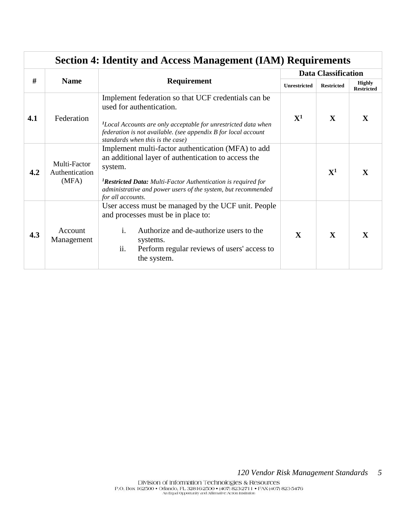| <b>Section 4: Identity and Access Management (IAM) Requirements</b> |                                         |                                                                                                                                                                                                                                                                                         |                            |                   |                                    |
|---------------------------------------------------------------------|-----------------------------------------|-----------------------------------------------------------------------------------------------------------------------------------------------------------------------------------------------------------------------------------------------------------------------------------------|----------------------------|-------------------|------------------------------------|
|                                                                     |                                         |                                                                                                                                                                                                                                                                                         | <b>Data Classification</b> |                   |                                    |
|                                                                     | #<br><b>Name</b><br><b>Requirement</b>  |                                                                                                                                                                                                                                                                                         | <b>Unrestricted</b>        | <b>Restricted</b> | <b>Highly</b><br><b>Restricted</b> |
| 4.1                                                                 | Federation                              | Implement federation so that UCF credentials can be<br>used for authentication.<br><sup>1</sup> Local Accounts are only acceptable for unrestricted data when<br>federation is not available. (see appendix B for local account<br>standards when this is the case)                     | ${\bf X^1}$                | $\mathbf{X}$      | $\mathbf{X}$                       |
| 4.2                                                                 | Multi-Factor<br>Authentication<br>(MFA) | Implement multi-factor authentication (MFA) to add<br>an additional layer of authentication to access the<br>system.<br><sup>1</sup> Restricted Data: Multi-Factor Authentication is required for<br>administrative and power users of the system, but recommended<br>for all accounts. |                            | ${\bf X^1}$       | $\mathbf{X}$                       |
| 4.3                                                                 | Account<br>Management                   | User access must be managed by the UCF unit. People<br>and processes must be in place to:<br>$\mathbf{i}$ .<br>Authorize and de-authorize users to the<br>systems.<br>ii.<br>Perform regular reviews of users' access to<br>the system.                                                 | $\mathbf{X}$               | $\mathbf{X}$      | $\mathbf{X}$                       |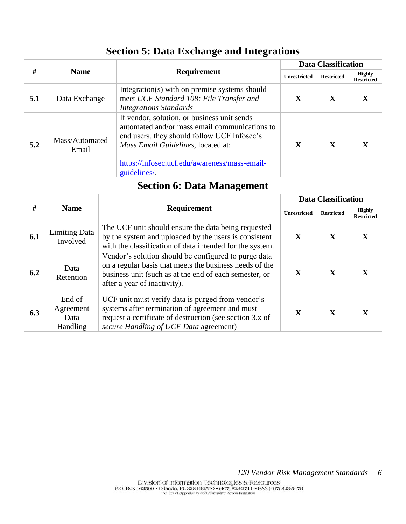| <b>Section 5: Data Exchange and Integrations</b> |                                                                                                                                                                                                                                                                               |                                                                                                                                                                                                            |                            |                   |                                    |
|--------------------------------------------------|-------------------------------------------------------------------------------------------------------------------------------------------------------------------------------------------------------------------------------------------------------------------------------|------------------------------------------------------------------------------------------------------------------------------------------------------------------------------------------------------------|----------------------------|-------------------|------------------------------------|
|                                                  |                                                                                                                                                                                                                                                                               |                                                                                                                                                                                                            | <b>Data Classification</b> |                   |                                    |
| #                                                | <b>Name</b>                                                                                                                                                                                                                                                                   | Requirement                                                                                                                                                                                                | <b>Unrestricted</b>        | <b>Restricted</b> | <b>Highly</b><br><b>Restricted</b> |
| 5.1                                              | Integration(s) with on premise systems should<br>meet UCF Standard 108: File Transfer and<br>Data Exchange<br><b>Integrations Standards</b>                                                                                                                                   |                                                                                                                                                                                                            | $\mathbf{X}$               | $\mathbf X$       | $\mathbf X$                        |
| 5.2                                              | If vendor, solution, or business unit sends<br>automated and/or mass email communications to<br>end users, they should follow UCF Infosec's<br>Mass/Automated<br>Mass Email Guidelines, located at:<br>Email<br>https://infosec.ucf.edu/awareness/mass-email-<br>guidelines/. |                                                                                                                                                                                                            | $\mathbf{X}$               | $\mathbf{X}$      | $\mathbf{X}$                       |
|                                                  | <b>Section 6: Data Management</b>                                                                                                                                                                                                                                             |                                                                                                                                                                                                            |                            |                   |                                    |
|                                                  |                                                                                                                                                                                                                                                                               |                                                                                                                                                                                                            | <b>Data Classification</b> |                   |                                    |
| #                                                | <b>Name</b>                                                                                                                                                                                                                                                                   | Requirement                                                                                                                                                                                                | <b>Unrestricted</b>        | <b>Restricted</b> | <b>Highly</b><br>Restricted        |
| 6.1                                              | <b>Limiting Data</b><br>Involved                                                                                                                                                                                                                                              | The UCF unit should ensure the data being requested<br>by the system and uploaded by the users is consistent<br>with the classification of data intended for the system.                                   | $\mathbf{X}$               | X                 | $\mathbf{X}$                       |
| 6.2                                              | Data<br>Retention                                                                                                                                                                                                                                                             | Vendor's solution should be configured to purge data<br>on a regular basis that meets the business needs of the<br>business unit (such as at the end of each semester, or<br>after a year of inactivity).  | $\mathbf{X}$               | $\mathbf{X}$      | $\mathbf{X}$                       |
| 6.3                                              | End of<br>Agreement<br>Data<br>Handling                                                                                                                                                                                                                                       | UCF unit must verify data is purged from vendor's<br>systems after termination of agreement and must<br>request a certificate of destruction (see section 3.x of<br>secure Handling of UCF Data agreement) | $\mathbf X$                | $\mathbf X$       | $\mathbf X$                        |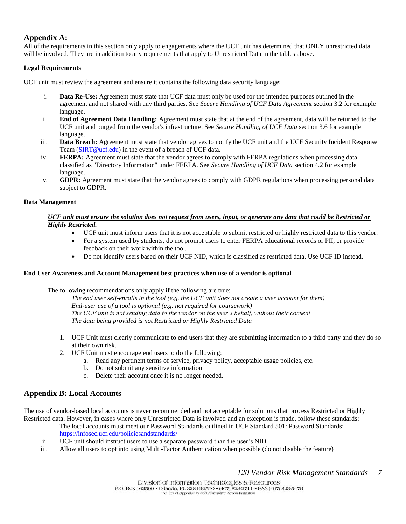### **Appendix A:**

All of the requirements in this section only apply to engagements where the UCF unit has determined that ONLY unrestricted data will be involved. They are in addition to any requirements that apply to Unrestricted Data in the tables above.

#### **Legal Requirements**

UCF unit must review the agreement and ensure it contains the following data security language:

- i. **Data Re-Use:** Agreement must state that UCF data must only be used for the intended purposes outlined in the agreement and not shared with any third parties. See *Secure Handling of UCF Data Agreement* section 3.2 for example language.
- ii. **End of Agreement Data Handling:** Agreement must state that at the end of the agreement, data will be returned to the UCF unit and purged from the vendor's infrastructure. See *Secure Handling of UCF Data* section 3.6 for example language.
- iii. **Data Breach:** Agreement must state that vendor agrees to notify the UCF unit and the UCF Security Incident Response Team [\(SIRT@ucf.edu\)](mailto:SIRT@ucf.edu) in the event of a breach of UCF data.
- iv. **FERPA:** Agreement must state that the vendor agrees to comply with FERPA regulations when processing data classified as "Directory Information" under FERPA. See *Secure Handling of UCF Data* section 4.2 for example language.
- v. **GDPR:** Agreement must state that the vendor agrees to comply with GDPR regulations when processing personal data subject to GDPR.

#### **Data Management**

#### *UCF unit must ensure the solution does not request from users, input, or generate any data that could be Restricted or Highly Restricted.*

- UCF unit must inform users that it is not acceptable to submit restricted or highly restricted data to this vendor.
- For a system used by students, do not prompt users to enter FERPA educational records or PII, or provide feedback on their work within the tool.
- Do not identify users based on their UCF NID, which is classified as restricted data. Use UCF ID instead.

#### **End User Awareness and Account Management best practices when use of a vendor is optional**

The following recommendations only apply if the following are true:

*The end user self-enrolls in the tool (e.g. the UCF unit does not create a user account for them) End-user use of a tool is optional (e.g. not required for coursework) The UCF unit is not sending data to the vendor on the user's behalf, without their consent The data being provided is not Restricted or Highly Restricted Data*

- 1. UCF Unit must clearly communicate to end users that they are submitting information to a third party and they do so at their own risk.
- 2. UCF Unit must encourage end users to do the following:
	- a. Read any pertinent terms of service, privacy policy, acceptable usage policies, etc.
	- b. Do not submit any sensitive information
	- c. Delete their account once it is no longer needed.

### **Appendix B: Local Accounts**

The use of vendor-based local accounts is never recommended and not acceptable for solutions that process Restricted or Highly Restricted data. However, in cases where only Unrestricted Data is involved and an exception is made, follow these standards:

- i. The local accounts must meet our Password Standards outlined in UCF Standard 501: Password Standards: <https://infosec.ucf.edu/policiesandstandards/>
- ii. UCF unit should instruct users to use a separate password than the user's NID.
- iii. Allow all users to opt into using Multi-Factor Authentication when possible (do not disable the feature)

*120 Vendor Risk Management Standards 7*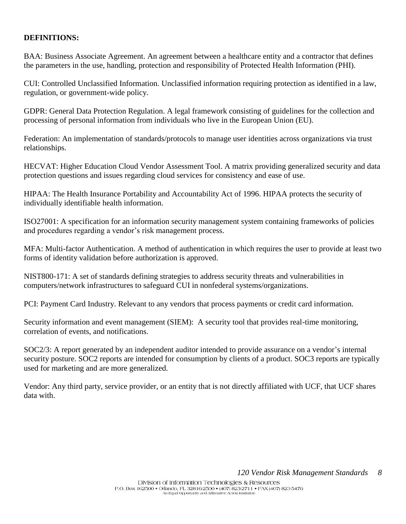### **DEFINITIONS:**

BAA: Business Associate Agreement. An agreement between a healthcare entity and a contractor that defines the parameters in the use, handling, protection and responsibility of Protected Health Information (PHI).

CUI: Controlled Unclassified Information. Unclassified information requiring protection as identified in a law, regulation, or government-wide policy.

GDPR: General Data Protection Regulation. A legal framework consisting of guidelines for the collection and processing of personal information from individuals who live in the European Union (EU).

Federation: An implementation of standards/protocols to manage user identities across organizations via trust relationships.

HECVAT: Higher Education Cloud Vendor Assessment Tool. A matrix providing generalized security and data protection questions and issues regarding cloud services for consistency and ease of use.

HIPAA: The Health Insurance Portability and Accountability Act of 1996. HIPAA protects the security of individually identifiable health information.

ISO27001: A specification for an information security management system containing frameworks of policies and procedures regarding a vendor's risk management process.

MFA: Multi-factor Authentication. A method of authentication in which requires the user to provide at least two forms of identity validation before authorization is approved.

NIST800-171: A set of standards defining strategies to address security threats and vulnerabilities in computers/network infrastructures to safeguard CUI in nonfederal systems/organizations.

PCI: Payment Card Industry. Relevant to any vendors that process payments or credit card information.

Security information and event management (SIEM): A security tool that provides real-time monitoring, correlation of events, and notifications.

SOC2/3: A report generated by an independent auditor intended to provide assurance on a vendor's internal security posture. SOC2 reports are intended for consumption by clients of a product. SOC3 reports are typically used for marketing and are more generalized.

Vendor: Any third party, service provider, or an entity that is not directly affiliated with UCF, that UCF shares data with.

*120 Vendor Risk Management Standards 8*